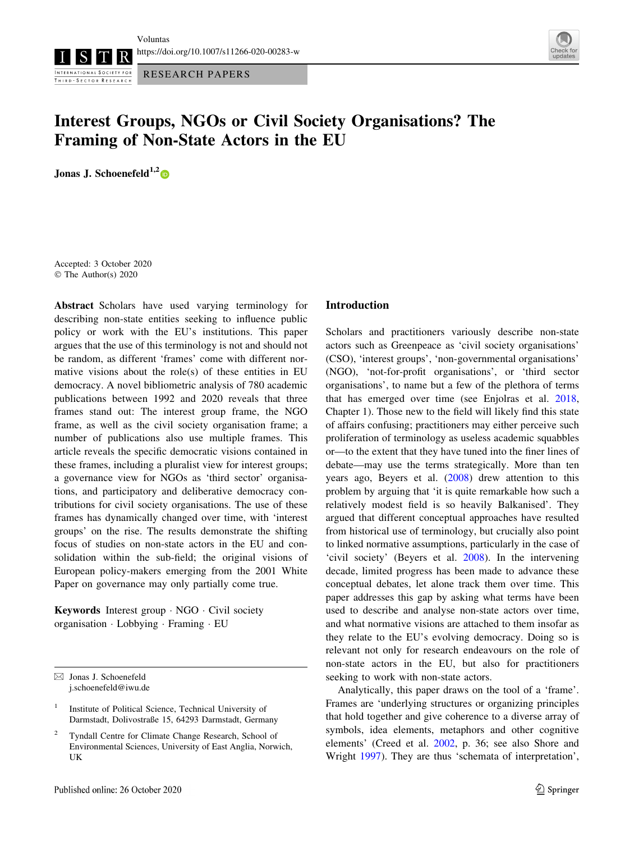RESEARCH PAPERS



# Interest Groups, NGOs or Civil Society Organisations? The Framing of Non-State Actors in the EU

Jonas J. Schoenefeld<sup>1,2</sup>

INTERNATIONAL SOCIETY FOR THIRD - SECTOR RESEARCH

Accepted: 3 October 2020 © The Author(s) 2020

Abstract Scholars have used varying terminology for describing non-state entities seeking to influence public policy or work with the EU's institutions. This paper argues that the use of this terminology is not and should not be random, as different 'frames' come with different normative visions about the role(s) of these entities in EU democracy. A novel bibliometric analysis of 780 academic publications between 1992 and 2020 reveals that three frames stand out: The interest group frame, the NGO frame, as well as the civil society organisation frame; a number of publications also use multiple frames. This article reveals the specific democratic visions contained in these frames, including a pluralist view for interest groups; a governance view for NGOs as 'third sector' organisations, and participatory and deliberative democracy contributions for civil society organisations. The use of these frames has dynamically changed over time, with 'interest groups' on the rise. The results demonstrate the shifting focus of studies on non-state actors in the EU and consolidation within the sub-field; the original visions of European policy-makers emerging from the 2001 White Paper on governance may only partially come true.

Keywords Interest group - NGO - Civil society organisation - Lobbying - Framing - EU

#### Introduction

Scholars and practitioners variously describe non-state actors such as Greenpeace as 'civil society organisations' (CSO), 'interest groups', 'non-governmental organisations' (NGO), 'not-for-profit organisations', or 'third sector organisations', to name but a few of the plethora of terms that has emerged over time (see Enjolras et al. [2018,](#page-10-0) Chapter 1). Those new to the field will likely find this state of affairs confusing; practitioners may either perceive such proliferation of terminology as useless academic squabbles or—to the extent that they have tuned into the finer lines of debate—may use the terms strategically. More than ten years ago, Beyers et al. ([2008\)](#page-9-0) drew attention to this problem by arguing that 'it is quite remarkable how such a relatively modest field is so heavily Balkanised'. They argued that different conceptual approaches have resulted from historical use of terminology, but crucially also point to linked normative assumptions, particularly in the case of 'civil society' (Beyers et al. [2008](#page-9-0)). In the intervening decade, limited progress has been made to advance these conceptual debates, let alone track them over time. This paper addresses this gap by asking what terms have been used to describe and analyse non-state actors over time, and what normative visions are attached to them insofar as they relate to the EU's evolving democracy. Doing so is relevant not only for research endeavours on the role of non-state actors in the EU, but also for practitioners seeking to work with non-state actors.

Analytically, this paper draws on the tool of a 'frame'. Frames are 'underlying structures or organizing principles that hold together and give coherence to a diverse array of symbols, idea elements, metaphors and other cognitive elements' (Creed et al. [2002,](#page-9-0) p. 36; see also Shore and Wright [1997](#page-11-0)). They are thus 'schemata of interpretation',

 $\boxtimes$  Jonas J. Schoenefeld j.schoenefeld@iwu.de

<sup>1</sup> Institute of Political Science, Technical University of Darmstadt, Dolivostraße 15, 64293 Darmstadt, Germany

<sup>2</sup> Tyndall Centre for Climate Change Research, School of Environmental Sciences, University of East Anglia, Norwich, UK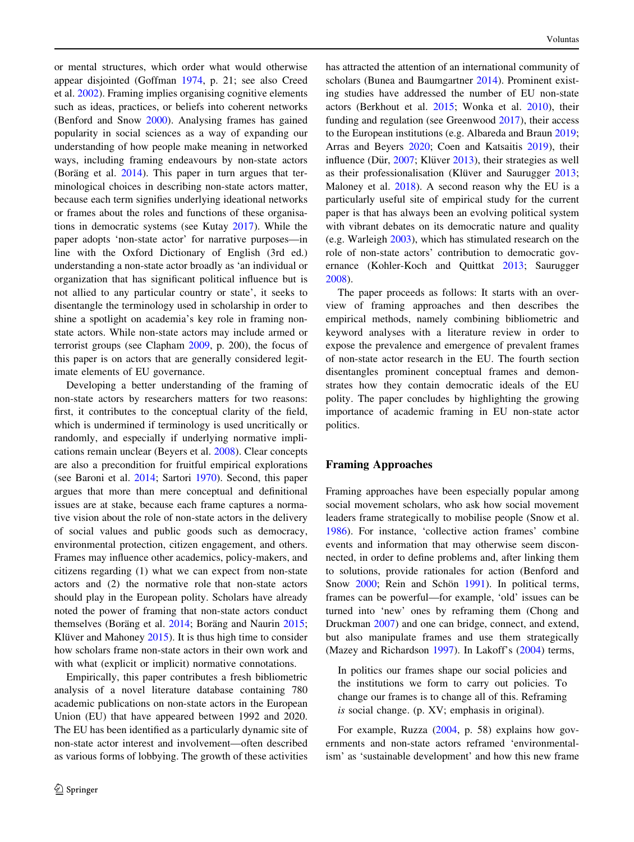or mental structures, which order what would otherwise appear disjointed (Goffman [1974](#page-10-0), p. 21; see also Creed et al. [2002\)](#page-9-0). Framing implies organising cognitive elements such as ideas, practices, or beliefs into coherent networks (Benford and Snow [2000](#page-9-0)). Analysing frames has gained popularity in social sciences as a way of expanding our understanding of how people make meaning in networked ways, including framing endeavours by non-state actors (Boräng et al.  $2014$ ). This paper in turn argues that terminological choices in describing non-state actors matter, because each term signifies underlying ideational networks or frames about the roles and functions of these organisations in democratic systems (see Kutay [2017\)](#page-10-0). While the paper adopts 'non-state actor' for narrative purposes—in line with the Oxford Dictionary of English (3rd ed.) understanding a non-state actor broadly as 'an individual or organization that has significant political influence but is not allied to any particular country or state', it seeks to disentangle the terminology used in scholarship in order to shine a spotlight on academia's key role in framing nonstate actors. While non-state actors may include armed or terrorist groups (see Clapham [2009](#page-9-0), p. 200), the focus of this paper is on actors that are generally considered legitimate elements of EU governance.

Developing a better understanding of the framing of non-state actors by researchers matters for two reasons: first, it contributes to the conceptual clarity of the field, which is undermined if terminology is used uncritically or randomly, and especially if underlying normative implications remain unclear (Beyers et al. [2008](#page-9-0)). Clear concepts are also a precondition for fruitful empirical explorations (see Baroni et al. [2014](#page-9-0); Sartori [1970\)](#page-11-0). Second, this paper argues that more than mere conceptual and definitional issues are at stake, because each frame captures a normative vision about the role of non-state actors in the delivery of social values and public goods such as democracy, environmental protection, citizen engagement, and others. Frames may influence other academics, policy-makers, and citizens regarding (1) what we can expect from non-state actors and (2) the normative role that non-state actors should play in the European polity. Scholars have already noted the power of framing that non-state actors conduct themselves (Boräng et al.  $2014$ ; Boräng and Naurin  $2015$ ; Klüver and Mahoney  $2015$ ). It is thus high time to consider how scholars frame non-state actors in their own work and with what (explicit or implicit) normative connotations.

Empirically, this paper contributes a fresh bibliometric analysis of a novel literature database containing 780 academic publications on non-state actors in the European Union (EU) that have appeared between 1992 and 2020. The EU has been identified as a particularly dynamic site of non-state actor interest and involvement—often described as various forms of lobbying. The growth of these activities

has attracted the attention of an international community of scholars (Bunea and Baumgartner [2014\)](#page-9-0). Prominent existing studies have addressed the number of EU non-state actors (Berkhout et al. [2015](#page-9-0); Wonka et al. [2010](#page-11-0)), their funding and regulation (see Greenwood [2017\)](#page-10-0), their access to the European institutions (e.g. Albareda and Braun [2019](#page-9-0); Arras and Beyers [2020](#page-9-0); Coen and Katsaitis [2019\)](#page-9-0), their influence (Dür, [2007;](#page-9-0) Klüver [2013\)](#page-10-0), their strategies as well as their professionalisation (Klüver and Saurugger [2013](#page-10-0); Maloney et al. [2018\)](#page-10-0). A second reason why the EU is a particularly useful site of empirical study for the current paper is that has always been an evolving political system with vibrant debates on its democratic nature and quality (e.g. Warleigh [2003\)](#page-11-0), which has stimulated research on the role of non-state actors' contribution to democratic governance (Kohler-Koch and Quittkat [2013](#page-10-0); Saurugger [2008](#page-11-0)).

The paper proceeds as follows: It starts with an overview of framing approaches and then describes the empirical methods, namely combining bibliometric and keyword analyses with a literature review in order to expose the prevalence and emergence of prevalent frames of non-state actor research in the EU. The fourth section disentangles prominent conceptual frames and demonstrates how they contain democratic ideals of the EU polity. The paper concludes by highlighting the growing importance of academic framing in EU non-state actor politics.

## Framing Approaches

Framing approaches have been especially popular among social movement scholars, who ask how social movement leaders frame strategically to mobilise people (Snow et al. [1986](#page-11-0)). For instance, 'collective action frames' combine events and information that may otherwise seem disconnected, in order to define problems and, after linking them to solutions, provide rationales for action (Benford and Snow [2000](#page-9-0); Rein and Schön [1991](#page-10-0)). In political terms, frames can be powerful—for example, 'old' issues can be turned into 'new' ones by reframing them (Chong and Druckman [2007](#page-9-0)) and one can bridge, connect, and extend, but also manipulate frames and use them strategically (Mazey and Richardson [1997\)](#page-10-0). In Lakoff's [\(2004](#page-10-0)) terms,

In politics our frames shape our social policies and the institutions we form to carry out policies. To change our frames is to change all of this. Reframing is social change. (p. XV; emphasis in original).

For example, Ruzza ([2004,](#page-11-0) p. 58) explains how governments and non-state actors reframed 'environmentalism' as 'sustainable development' and how this new frame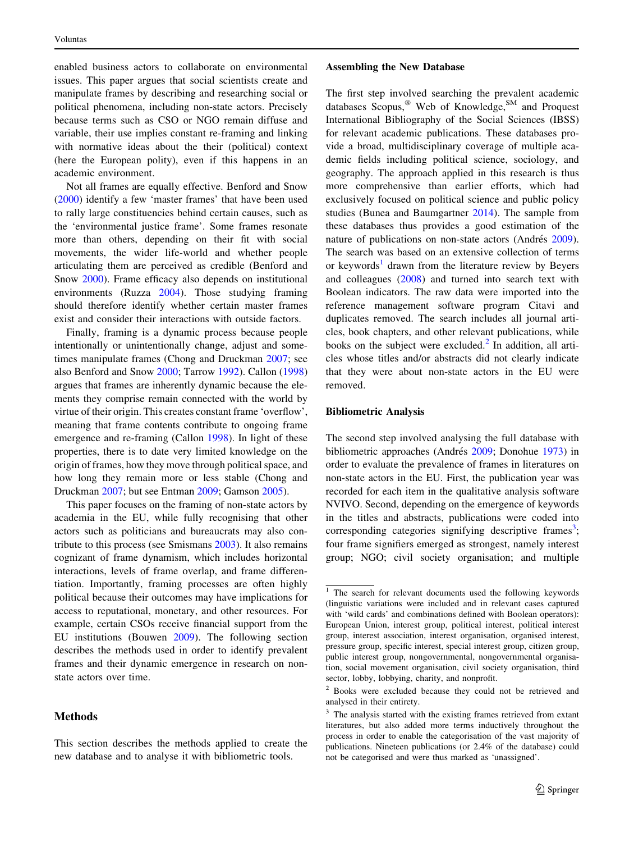enabled business actors to collaborate on environmental issues. This paper argues that social scientists create and manipulate frames by describing and researching social or political phenomena, including non-state actors. Precisely because terms such as CSO or NGO remain diffuse and variable, their use implies constant re-framing and linking with normative ideas about the their (political) context (here the European polity), even if this happens in an academic environment.

Not all frames are equally effective. Benford and Snow [\(2000](#page-9-0)) identify a few 'master frames' that have been used to rally large constituencies behind certain causes, such as the 'environmental justice frame'. Some frames resonate more than others, depending on their fit with social movements, the wider life-world and whether people articulating them are perceived as credible (Benford and Snow [2000](#page-9-0)). Frame efficacy also depends on institutional environments (Ruzza [2004](#page-11-0)). Those studying framing should therefore identify whether certain master frames exist and consider their interactions with outside factors.

Finally, framing is a dynamic process because people intentionally or unintentionally change, adjust and sometimes manipulate frames (Chong and Druckman [2007](#page-9-0); see also Benford and Snow [2000](#page-9-0); Tarrow [1992\)](#page-11-0). Callon ([1998\)](#page-9-0) argues that frames are inherently dynamic because the elements they comprise remain connected with the world by virtue of their origin. This creates constant frame 'overflow', meaning that frame contents contribute to ongoing frame emergence and re-framing (Callon [1998\)](#page-9-0). In light of these properties, there is to date very limited knowledge on the origin of frames, how they move through political space, and how long they remain more or less stable (Chong and Druckman [2007;](#page-9-0) but see Entman [2009](#page-10-0); Gamson [2005](#page-10-0)).

This paper focuses on the framing of non-state actors by academia in the EU, while fully recognising that other actors such as politicians and bureaucrats may also contribute to this process (see Smismans [2003\)](#page-11-0). It also remains cognizant of frame dynamism, which includes horizontal interactions, levels of frame overlap, and frame differentiation. Importantly, framing processes are often highly political because their outcomes may have implications for access to reputational, monetary, and other resources. For example, certain CSOs receive financial support from the EU institutions (Bouwen [2009\)](#page-9-0). The following section describes the methods used in order to identify prevalent frames and their dynamic emergence in research on nonstate actors over time.

# **Methods**

#### Assembling the New Database

The first step involved searching the prevalent academic databases Scopus,<sup>®</sup> Web of Knowledge,<sup>SM</sup> and Proquest International Bibliography of the Social Sciences (IBSS) for relevant academic publications. These databases provide a broad, multidisciplinary coverage of multiple academic fields including political science, sociology, and geography. The approach applied in this research is thus more comprehensive than earlier efforts, which had exclusively focused on political science and public policy studies (Bunea and Baumgartner [2014](#page-9-0)). The sample from these databases thus provides a good estimation of the nature of publications on non-state actors (Andrés [2009](#page-9-0)). The search was based on an extensive collection of terms or keywords<sup>1</sup> drawn from the literature review by Beyers and colleagues [\(2008](#page-9-0)) and turned into search text with Boolean indicators. The raw data were imported into the reference management software program Citavi and duplicates removed. The search includes all journal articles, book chapters, and other relevant publications, while books on the subject were excluded. $<sup>2</sup>$  In addition, all arti-</sup> cles whose titles and/or abstracts did not clearly indicate that they were about non-state actors in the EU were removed.

## Bibliometric Analysis

The second step involved analysing the full database with bibliometric approaches (Andrés [2009](#page-9-0); Donohue [1973\)](#page-9-0) in order to evaluate the prevalence of frames in literatures on non-state actors in the EU. First, the publication year was recorded for each item in the qualitative analysis software NVIVO. Second, depending on the emergence of keywords in the titles and abstracts, publications were coded into corresponding categories signifying descriptive frames<sup>3</sup>; four frame signifiers emerged as strongest, namely interest group; NGO; civil society organisation; and multiple

This section describes the methods applied to create the new database and to analyse it with bibliometric tools.

<sup>&</sup>lt;sup>1</sup> The search for relevant documents used the following keywords (linguistic variations were included and in relevant cases captured with 'wild cards' and combinations defined with Boolean operators): European Union, interest group, political interest, political interest group, interest association, interest organisation, organised interest, pressure group, specific interest, special interest group, citizen group, public interest group, nongovernmental, nongovernmental organisation, social movement organisation, civil society organisation, third sector, lobby, lobbying, charity, and nonprofit.

<sup>2</sup> Books were excluded because they could not be retrieved and analysed in their entirety.

<sup>&</sup>lt;sup>3</sup> The analysis started with the existing frames retrieved from extant literatures, but also added more terms inductively throughout the process in order to enable the categorisation of the vast majority of publications. Nineteen publications (or 2.4% of the database) could not be categorised and were thus marked as 'unassigned'.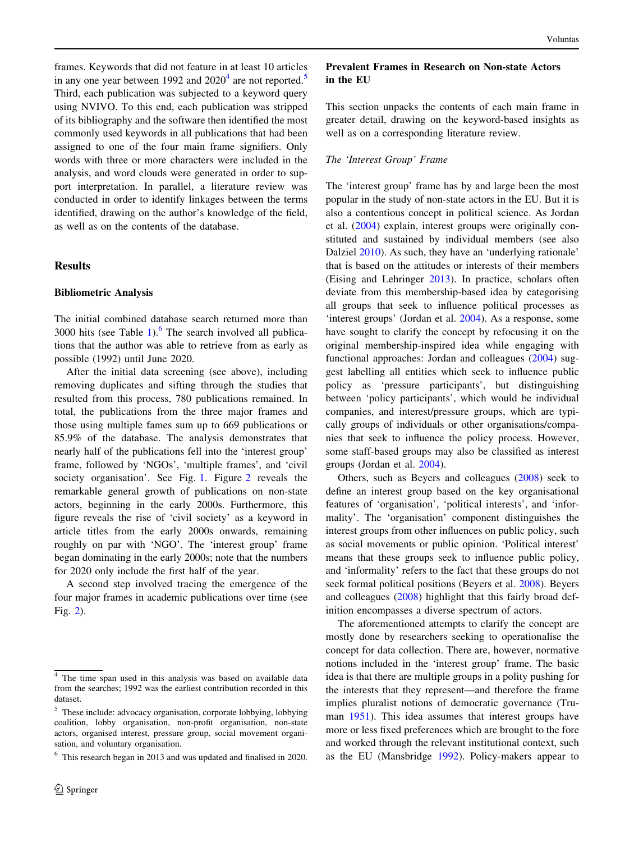frames. Keywords that did not feature in at least 10 articles in any one year between 1992 and  $2020<sup>4</sup>$  are not reported.<sup>5</sup> Third, each publication was subjected to a keyword query using NVIVO. To this end, each publication was stripped of its bibliography and the software then identified the most commonly used keywords in all publications that had been assigned to one of the four main frame signifiers. Only words with three or more characters were included in the analysis, and word clouds were generated in order to support interpretation. In parallel, a literature review was conducted in order to identify linkages between the terms identified, drawing on the author's knowledge of the field, as well as on the contents of the database.

## Results

### Bibliometric Analysis

The initial combined database search returned more than 3000 hits (see Table [1](#page-4-0)). $<sup>6</sup>$  The search involved all publica-</sup> tions that the author was able to retrieve from as early as possible (1992) until June 2020.

After the initial data screening (see above), including removing duplicates and sifting through the studies that resulted from this process, 780 publications remained. In total, the publications from the three major frames and those using multiple fames sum up to 669 publications or 85.9% of the database. The analysis demonstrates that nearly half of the publications fell into the 'interest group' frame, followed by 'NGOs', 'multiple frames', and 'civil society organisation'. See Fig. [1](#page-4-0). Figure [2](#page-4-0) reveals the remarkable general growth of publications on non-state actors, beginning in the early 2000s. Furthermore, this figure reveals the rise of 'civil society' as a keyword in article titles from the early 2000s onwards, remaining roughly on par with 'NGO'. The 'interest group' frame began dominating in the early 2000s; note that the numbers for 2020 only include the first half of the year.

A second step involved tracing the emergence of the four major frames in academic publications over time (see Fig. [2](#page-4-0)).

## Prevalent Frames in Research on Non-state Actors in the EU

This section unpacks the contents of each main frame in greater detail, drawing on the keyword-based insights as well as on a corresponding literature review.

#### The 'Interest Group' Frame

The 'interest group' frame has by and large been the most popular in the study of non-state actors in the EU. But it is also a contentious concept in political science. As Jordan et al. ([2004\)](#page-10-0) explain, interest groups were originally constituted and sustained by individual members (see also Dalziel [2010\)](#page-9-0). As such, they have an 'underlying rationale' that is based on the attitudes or interests of their members (Eising and Lehringer [2013](#page-10-0)). In practice, scholars often deviate from this membership-based idea by categorising all groups that seek to influence political processes as 'interest groups' (Jordan et al. [2004\)](#page-10-0). As a response, some have sought to clarify the concept by refocusing it on the original membership-inspired idea while engaging with functional approaches: Jordan and colleagues [\(2004](#page-10-0)) suggest labelling all entities which seek to influence public policy as 'pressure participants', but distinguishing between 'policy participants', which would be individual companies, and interest/pressure groups, which are typically groups of individuals or other organisations/companies that seek to influence the policy process. However, some staff-based groups may also be classified as interest groups (Jordan et al. [2004\)](#page-10-0).

Others, such as Beyers and colleagues ([2008\)](#page-9-0) seek to define an interest group based on the key organisational features of 'organisation', 'political interests', and 'informality'. The 'organisation' component distinguishes the interest groups from other influences on public policy, such as social movements or public opinion. 'Political interest' means that these groups seek to influence public policy, and 'informality' refers to the fact that these groups do not seek formal political positions (Beyers et al. [2008\)](#page-9-0). Beyers and colleagues [\(2008](#page-9-0)) highlight that this fairly broad definition encompasses a diverse spectrum of actors.

The aforementioned attempts to clarify the concept are mostly done by researchers seeking to operationalise the concept for data collection. There are, however, normative notions included in the 'interest group' frame. The basic idea is that there are multiple groups in a polity pushing for the interests that they represent—and therefore the frame implies pluralist notions of democratic governance (Truman [1951\)](#page-11-0). This idea assumes that interest groups have more or less fixed preferences which are brought to the fore and worked through the relevant institutional context, such as the EU (Mansbridge [1992](#page-10-0)). Policy-makers appear to

<sup>4</sup> The time span used in this analysis was based on available data from the searches; 1992 was the earliest contribution recorded in this dataset.

<sup>5</sup> These include: advocacy organisation, corporate lobbying, lobbying coalition, lobby organisation, non-profit organisation, non-state actors, organised interest, pressure group, social movement organisation, and voluntary organisation.

<sup>6</sup> This research began in 2013 and was updated and finalised in 2020.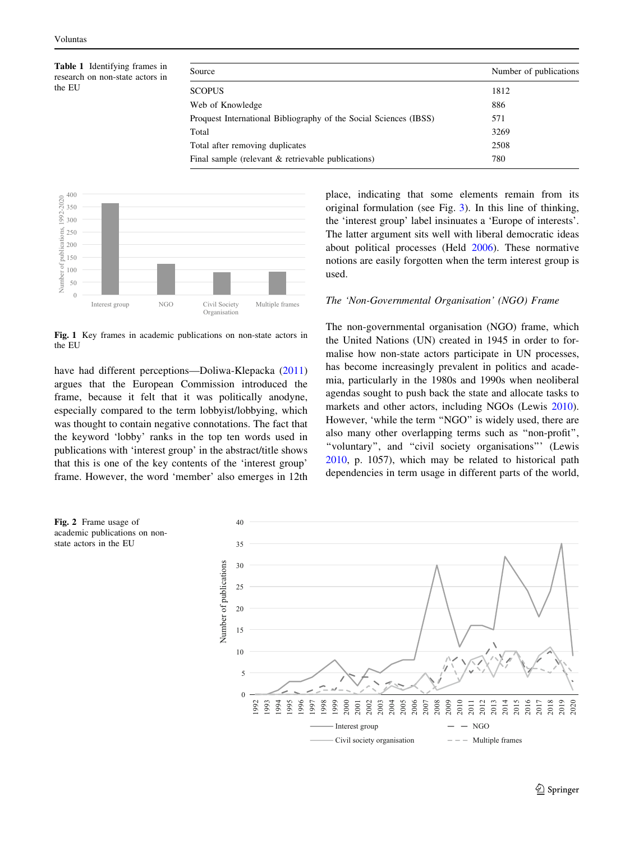<span id="page-4-0"></span>Table 1 Identifying frames in research on non-state actors in the EU

| Source                                                            | Number of publications |
|-------------------------------------------------------------------|------------------------|
| <b>SCOPUS</b>                                                     | 1812                   |
| Web of Knowledge                                                  | 886                    |
| Proquest International Bibliography of the Social Sciences (IBSS) | 571                    |
| Total                                                             | 3269                   |
| Total after removing duplicates                                   | 2508                   |
| Final sample (relevant $\&$ retrievable publications)             | 780                    |



Fig. 1 Key frames in academic publications on non-state actors in the EU

have had different perceptions—Doliwa-Klepacka ([2011\)](#page-9-0) argues that the European Commission introduced the frame, because it felt that it was politically anodyne, especially compared to the term lobbyist/lobbying, which was thought to contain negative connotations. The fact that the keyword 'lobby' ranks in the top ten words used in publications with 'interest group' in the abstract/title shows that this is one of the key contents of the 'interest group' frame. However, the word 'member' also emerges in 12th place, indicating that some elements remain from its original formulation (see Fig. [3\)](#page-5-0). In this line of thinking, the 'interest group' label insinuates a 'Europe of interests'. The latter argument sits well with liberal democratic ideas about political processes (Held [2006](#page-10-0)). These normative notions are easily forgotten when the term interest group is used.

## The 'Non-Governmental Organisation' (NGO) Frame

The non-governmental organisation (NGO) frame, which the United Nations (UN) created in 1945 in order to formalise how non-state actors participate in UN processes, has become increasingly prevalent in politics and academia, particularly in the 1980s and 1990s when neoliberal agendas sought to push back the state and allocate tasks to markets and other actors, including NGOs (Lewis [2010](#page-10-0)). However, 'while the term "NGO" is widely used, there are also many other overlapping terms such as ''non-profit'', ''voluntary'', and ''civil society organisations''' (Lewis [2010](#page-10-0), p. 1057), which may be related to historical path dependencies in term usage in different parts of the world,



academic publications on nonstate actors in the EU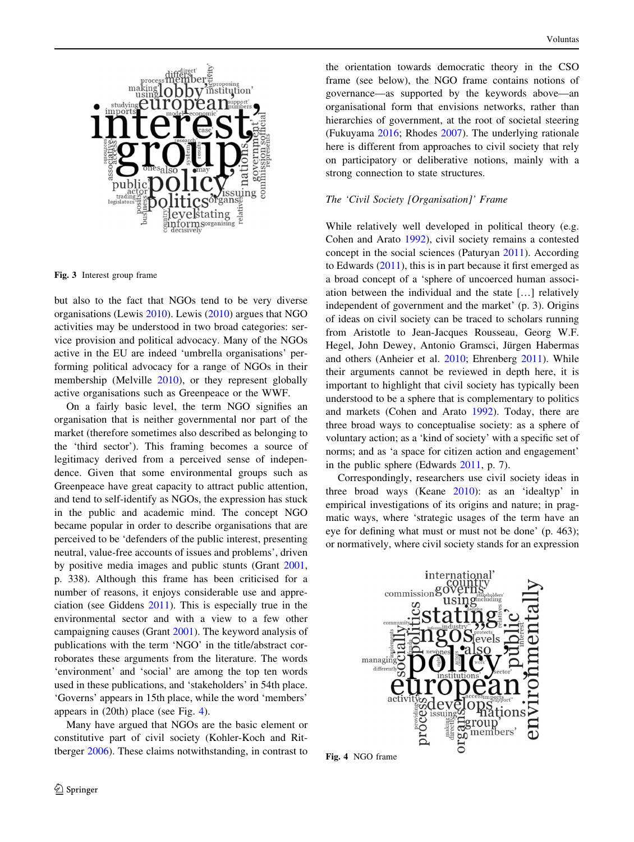<span id="page-5-0"></span>

Fig. 3 Interest group frame

but also to the fact that NGOs tend to be very diverse organisations (Lewis [2010](#page-10-0)). Lewis ([2010\)](#page-10-0) argues that NGO activities may be understood in two broad categories: service provision and political advocacy. Many of the NGOs active in the EU are indeed 'umbrella organisations' performing political advocacy for a range of NGOs in their membership (Melville [2010\)](#page-10-0), or they represent globally active organisations such as Greenpeace or the WWF.

On a fairly basic level, the term NGO signifies an organisation that is neither governmental nor part of the market (therefore sometimes also described as belonging to the 'third sector'). This framing becomes a source of legitimacy derived from a perceived sense of independence. Given that some environmental groups such as Greenpeace have great capacity to attract public attention, and tend to self-identify as NGOs, the expression has stuck in the public and academic mind. The concept NGO became popular in order to describe organisations that are perceived to be 'defenders of the public interest, presenting neutral, value-free accounts of issues and problems', driven by positive media images and public stunts (Grant [2001,](#page-10-0) p. 338). Although this frame has been criticised for a number of reasons, it enjoys considerable use and appreciation (see Giddens [2011\)](#page-10-0). This is especially true in the environmental sector and with a view to a few other campaigning causes (Grant [2001](#page-10-0)). The keyword analysis of publications with the term 'NGO' in the title/abstract corroborates these arguments from the literature. The words 'environment' and 'social' are among the top ten words used in these publications, and 'stakeholders' in 54th place. 'Governs' appears in 15th place, while the word 'members' appears in (20th) place (see Fig. 4).

Many have argued that NGOs are the basic element or constitutive part of civil society (Kohler-Koch and Rittberger [2006](#page-10-0)). These claims notwithstanding, in contrast to

the orientation towards democratic theory in the CSO frame (see below), the NGO frame contains notions of governance—as supported by the keywords above—an organisational form that envisions networks, rather than hierarchies of government, at the root of societal steering (Fukuyama [2016;](#page-10-0) Rhodes [2007](#page-10-0)). The underlying rationale here is different from approaches to civil society that rely on participatory or deliberative notions, mainly with a strong connection to state structures.

## The 'Civil Society [Organisation]' Frame

While relatively well developed in political theory (e.g. Cohen and Arato [1992](#page-9-0)), civil society remains a contested concept in the social sciences (Paturyan [2011\)](#page-10-0). According to Edwards ([2011\)](#page-9-0), this is in part because it first emerged as a broad concept of a 'sphere of uncoerced human association between the individual and the state […] relatively independent of government and the market' (p. 3). Origins of ideas on civil society can be traced to scholars running from Aristotle to Jean-Jacques Rousseau, Georg W.F. Hegel, John Dewey, Antonio Gramsci, Jürgen Habermas and others (Anheier et al. [2010](#page-9-0); Ehrenberg [2011\)](#page-9-0). While their arguments cannot be reviewed in depth here, it is important to highlight that civil society has typically been understood to be a sphere that is complementary to politics and markets (Cohen and Arato [1992](#page-9-0)). Today, there are three broad ways to conceptualise society: as a sphere of voluntary action; as a 'kind of society' with a specific set of norms; and as 'a space for citizen action and engagement' in the public sphere (Edwards [2011](#page-9-0), p. 7).

Correspondingly, researchers use civil society ideas in three broad ways (Keane [2010\)](#page-10-0): as an 'idealtyp' in empirical investigations of its origins and nature; in pragmatic ways, where 'strategic usages of the term have an eye for defining what must or must not be done' (p. 463); or normatively, where civil society stands for an expression



Fig. 4 NGO frame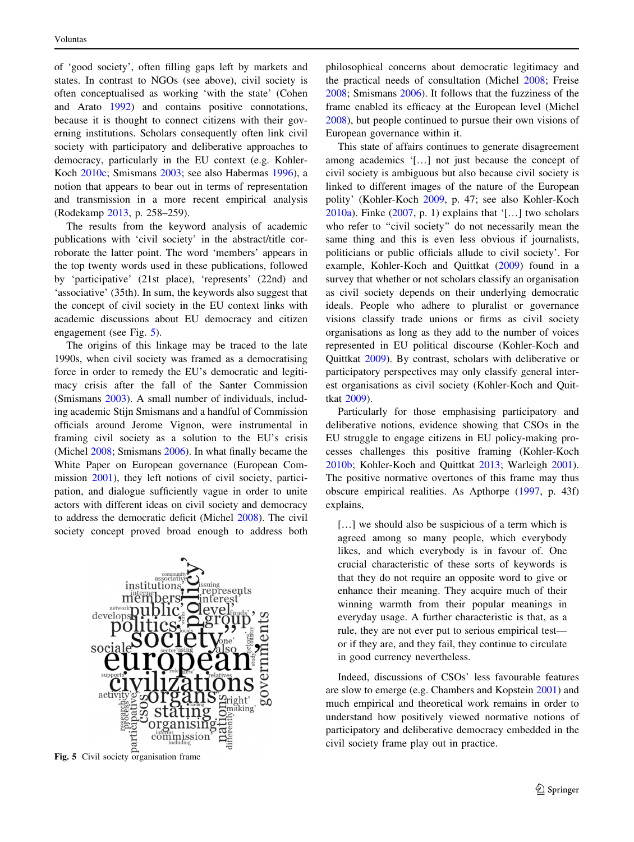of 'good society', often filling gaps left by markets and states. In contrast to NGOs (see above), civil society is often conceptualised as working 'with the state' (Cohen and Arato [1992](#page-9-0)) and contains positive connotations, because it is thought to connect citizens with their governing institutions. Scholars consequently often link civil society with participatory and deliberative approaches to democracy, particularly in the EU context (e.g. Kohler-Koch [2010c](#page-10-0); Smismans [2003;](#page-11-0) see also Habermas [1996\)](#page-10-0), a notion that appears to bear out in terms of representation and transmission in a more recent empirical analysis (Rodekamp [2013,](#page-11-0) p. 258–259).

The results from the keyword analysis of academic publications with 'civil society' in the abstract/title corroborate the latter point. The word 'members' appears in the top twenty words used in these publications, followed by 'participative' (21st place), 'represents' (22nd) and 'associative' (35th). In sum, the keywords also suggest that the concept of civil society in the EU context links with academic discussions about EU democracy and citizen engagement (see Fig. 5).

The origins of this linkage may be traced to the late 1990s, when civil society was framed as a democratising force in order to remedy the EU's democratic and legitimacy crisis after the fall of the Santer Commission (Smismans [2003\)](#page-11-0). A small number of individuals, including academic Stijn Smismans and a handful of Commission officials around Jerome Vignon, were instrumental in framing civil society as a solution to the EU's crisis (Michel [2008](#page-10-0); Smismans [2006](#page-11-0)). In what finally became the White Paper on European governance (European Commission [2001](#page-9-0)), they left notions of civil society, participation, and dialogue sufficiently vague in order to unite actors with different ideas on civil society and democracy to address the democratic deficit (Michel [2008\)](#page-10-0). The civil society concept proved broad enough to address both



Fig. 5 Civil society organisation frame

philosophical concerns about democratic legitimacy and the practical needs of consultation (Michel [2008](#page-10-0); Freise [2008](#page-10-0); Smismans [2006](#page-11-0)). It follows that the fuzziness of the frame enabled its efficacy at the European level (Michel [2008](#page-10-0)), but people continued to pursue their own visions of European governance within it.

This state of affairs continues to generate disagreement among academics '[…] not just because the concept of civil society is ambiguous but also because civil society is linked to different images of the nature of the European polity' (Kohler-Koch [2009,](#page-10-0) p. 47; see also Kohler-Koch [2010a\)](#page-10-0). Finke ([2007,](#page-10-0) p. 1) explains that '[…] two scholars who refer to "civil society" do not necessarily mean the same thing and this is even less obvious if journalists, politicians or public officials allude to civil society'. For example, Kohler-Koch and Quittkat ([2009](#page-10-0)) found in a survey that whether or not scholars classify an organisation as civil society depends on their underlying democratic ideals. People who adhere to pluralist or governance visions classify trade unions or firms as civil society organisations as long as they add to the number of voices represented in EU political discourse (Kohler-Koch and Quittkat [2009\)](#page-10-0). By contrast, scholars with deliberative or participatory perspectives may only classify general interest organisations as civil society (Kohler-Koch and Quittkat [2009\)](#page-10-0).

Particularly for those emphasising participatory and deliberative notions, evidence showing that CSOs in the EU struggle to engage citizens in EU policy-making processes challenges this positive framing (Kohler-Koch [2010b](#page-10-0); Kohler-Koch and Quittkat [2013](#page-10-0); Warleigh [2001](#page-11-0)). The positive normative overtones of this frame may thus obscure empirical realities. As Apthorpe [\(1997](#page-9-0), p. 43f) explains,

[...] we should also be suspicious of a term which is agreed among so many people, which everybody likes, and which everybody is in favour of. One crucial characteristic of these sorts of keywords is that they do not require an opposite word to give or enhance their meaning. They acquire much of their winning warmth from their popular meanings in everyday usage. A further characteristic is that, as a rule, they are not ever put to serious empirical test or if they are, and they fail, they continue to circulate in good currency nevertheless.

Indeed, discussions of CSOs' less favourable features are slow to emerge (e.g. Chambers and Kopstein [2001\)](#page-9-0) and much empirical and theoretical work remains in order to understand how positively viewed normative notions of participatory and deliberative democracy embedded in the civil society frame play out in practice.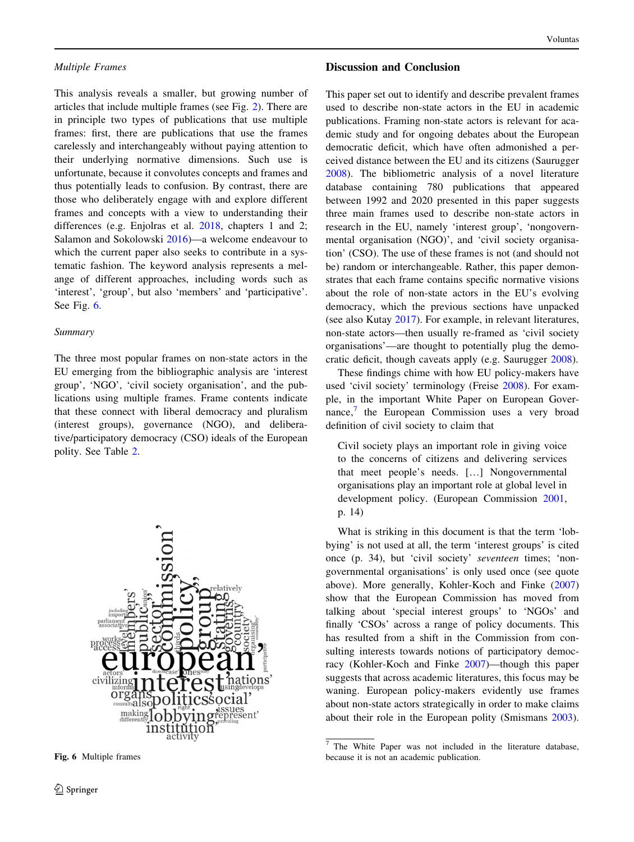This analysis reveals a smaller, but growing number of articles that include multiple frames (see Fig. [2](#page-4-0)). There are in principle two types of publications that use multiple frames: first, there are publications that use the frames carelessly and interchangeably without paying attention to their underlying normative dimensions. Such use is unfortunate, because it convolutes concepts and frames and thus potentially leads to confusion. By contrast, there are those who deliberately engage with and explore different frames and concepts with a view to understanding their differences (e.g. Enjolras et al. [2018](#page-10-0), chapters 1 and 2; Salamon and Sokolowski [2016\)](#page-11-0)—a welcome endeavour to which the current paper also seeks to contribute in a systematic fashion. The keyword analysis represents a melange of different approaches, including words such as 'interest', 'group', but also 'members' and 'participative'. See Fig. 6.

## Summary

The three most popular frames on non-state actors in the EU emerging from the bibliographic analysis are 'interest group', 'NGO', 'civil society organisation', and the publications using multiple frames. Frame contents indicate that these connect with liberal democracy and pluralism (interest groups), governance (NGO), and deliberative/participatory democracy (CSO) ideals of the European polity. See Table [2](#page-8-0).



Fig. 6 Multiple frames

## Discussion and Conclusion

This paper set out to identify and describe prevalent frames used to describe non-state actors in the EU in academic publications. Framing non-state actors is relevant for academic study and for ongoing debates about the European democratic deficit, which have often admonished a perceived distance between the EU and its citizens (Saurugger [2008](#page-11-0)). The bibliometric analysis of a novel literature database containing 780 publications that appeared between 1992 and 2020 presented in this paper suggests three main frames used to describe non-state actors in research in the EU, namely 'interest group', 'nongovernmental organisation (NGO)', and 'civil society organisation' (CSO). The use of these frames is not (and should not be) random or interchangeable. Rather, this paper demonstrates that each frame contains specific normative visions about the role of non-state actors in the EU's evolving democracy, which the previous sections have unpacked (see also Kutay [2017](#page-10-0)). For example, in relevant literatures, non-state actors—then usually re-framed as 'civil society organisations'—are thought to potentially plug the democratic deficit, though caveats apply (e.g. Saurugger [2008\)](#page-11-0).

These findings chime with how EU policy-makers have used 'civil society' terminology (Freise [2008](#page-10-0)). For example, in the important White Paper on European Governance, $\frac{7}{1}$  the European Commission uses a very broad definition of civil society to claim that

Civil society plays an important role in giving voice to the concerns of citizens and delivering services that meet people's needs. […] Nongovernmental organisations play an important role at global level in development policy. (European Commission [2001](#page-9-0), p. 14)

What is striking in this document is that the term 'lobbying' is not used at all, the term 'interest groups' is cited once (p. 34), but 'civil society' seventeen times; 'nongovernmental organisations' is only used once (see quote above). More generally, Kohler-Koch and Finke ([2007\)](#page-10-0) show that the European Commission has moved from talking about 'special interest groups' to 'NGOs' and finally 'CSOs' across a range of policy documents. This has resulted from a shift in the Commission from consulting interests towards notions of participatory democracy (Kohler-Koch and Finke [2007\)](#page-10-0)—though this paper suggests that across academic literatures, this focus may be waning. European policy-makers evidently use frames about non-state actors strategically in order to make claims about their role in the European polity (Smismans [2003](#page-11-0)).

<sup>7</sup> The White Paper was not included in the literature database, because it is not an academic publication.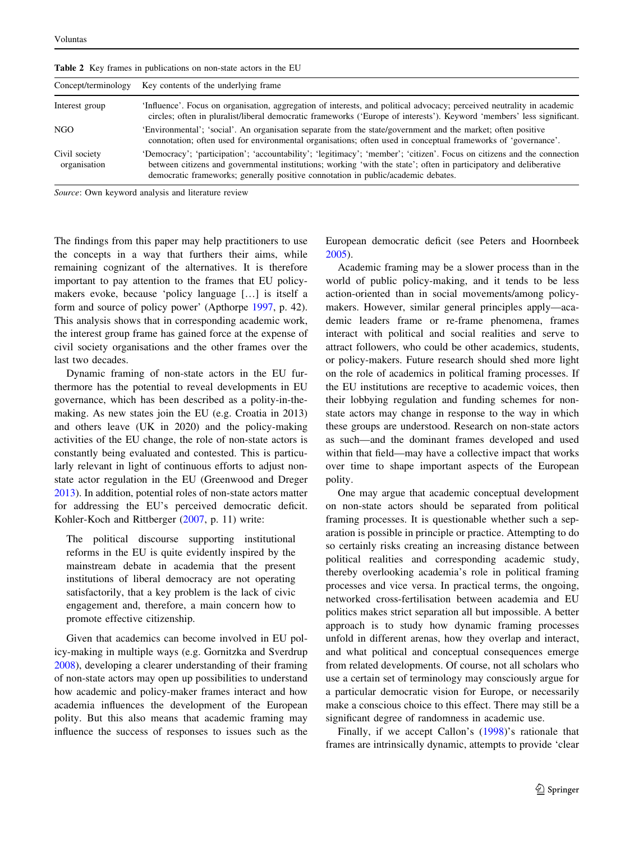| <b>Tube</b> $\blacksquare$ They Humes in publications on non-state actors in the Eq. |                                                                                                                                                                                                                                                                                                                                   |  |
|--------------------------------------------------------------------------------------|-----------------------------------------------------------------------------------------------------------------------------------------------------------------------------------------------------------------------------------------------------------------------------------------------------------------------------------|--|
| Concept/terminology                                                                  | Key contents of the underlying frame.                                                                                                                                                                                                                                                                                             |  |
| Interest group                                                                       | 'Influence'. Focus on organisation, aggregation of interests, and political advocacy; perceived neutrality in academic<br>circles; often in pluralist/liberal democratic frameworks ('Europe of interests'). Keyword 'members' less significant.                                                                                  |  |
| NGO                                                                                  | 'Environmental'; 'social'. An organisation separate from the state/government and the market; often positive<br>connotation; often used for environmental organisations; often used in conceptual frameworks of 'governance'.                                                                                                     |  |
| Civil society<br>organisation                                                        | 'Democracy'; 'participation'; 'accountability'; 'legitimacy'; 'member'; 'citizen'. Focus on citizens and the connection<br>between citizens and governmental institutions; working 'with the state'; often in participatory and deliberative<br>democratic frameworks; generally positive connotation in public/academic debates. |  |

<span id="page-8-0"></span>Table 2 Key frames in publications on non-state actors in the EU

Source: Own keyword analysis and literature review

The findings from this paper may help practitioners to use the concepts in a way that furthers their aims, while remaining cognizant of the alternatives. It is therefore important to pay attention to the frames that EU policymakers evoke, because 'policy language […] is itself a form and source of policy power' (Apthorpe [1997,](#page-9-0) p. 42). This analysis shows that in corresponding academic work, the interest group frame has gained force at the expense of civil society organisations and the other frames over the last two decades.

Dynamic framing of non-state actors in the EU furthermore has the potential to reveal developments in EU governance, which has been described as a polity-in-themaking. As new states join the EU (e.g. Croatia in 2013) and others leave (UK in 2020) and the policy-making activities of the EU change, the role of non-state actors is constantly being evaluated and contested. This is particularly relevant in light of continuous efforts to adjust nonstate actor regulation in the EU (Greenwood and Dreger [2013\)](#page-10-0). In addition, potential roles of non-state actors matter for addressing the EU's perceived democratic deficit. Kohler-Koch and Rittberger [\(2007](#page-10-0), p. 11) write:

The political discourse supporting institutional reforms in the EU is quite evidently inspired by the mainstream debate in academia that the present institutions of liberal democracy are not operating satisfactorily, that a key problem is the lack of civic engagement and, therefore, a main concern how to promote effective citizenship.

Given that academics can become involved in EU policy-making in multiple ways (e.g. Gornitzka and Sverdrup [2008\)](#page-10-0), developing a clearer understanding of their framing of non-state actors may open up possibilities to understand how academic and policy-maker frames interact and how academia influences the development of the European polity. But this also means that academic framing may influence the success of responses to issues such as the European democratic deficit (see Peters and Hoornbeek [2005](#page-10-0)).

Academic framing may be a slower process than in the world of public policy-making, and it tends to be less action-oriented than in social movements/among policymakers. However, similar general principles apply—academic leaders frame or re-frame phenomena, frames interact with political and social realities and serve to attract followers, who could be other academics, students, or policy-makers. Future research should shed more light on the role of academics in political framing processes. If the EU institutions are receptive to academic voices, then their lobbying regulation and funding schemes for nonstate actors may change in response to the way in which these groups are understood. Research on non-state actors as such—and the dominant frames developed and used within that field—may have a collective impact that works over time to shape important aspects of the European polity.

One may argue that academic conceptual development on non-state actors should be separated from political framing processes. It is questionable whether such a separation is possible in principle or practice. Attempting to do so certainly risks creating an increasing distance between political realities and corresponding academic study, thereby overlooking academia's role in political framing processes and vice versa. In practical terms, the ongoing, networked cross-fertilisation between academia and EU politics makes strict separation all but impossible. A better approach is to study how dynamic framing processes unfold in different arenas, how they overlap and interact, and what political and conceptual consequences emerge from related developments. Of course, not all scholars who use a certain set of terminology may consciously argue for a particular democratic vision for Europe, or necessarily make a conscious choice to this effect. There may still be a significant degree of randomness in academic use.

Finally, if we accept Callon's ([1998\)](#page-9-0)'s rationale that frames are intrinsically dynamic, attempts to provide 'clear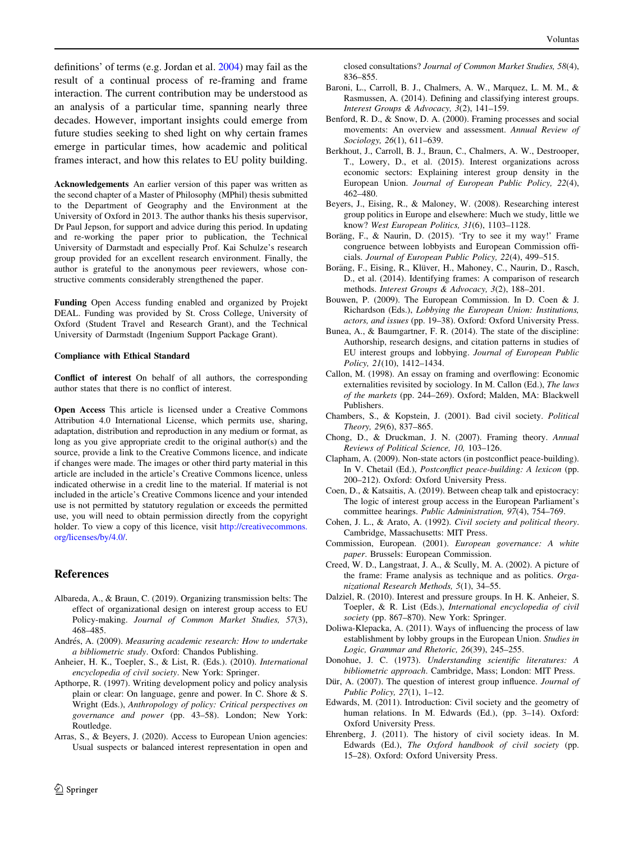<span id="page-9-0"></span>definitions' of terms (e.g. Jordan et al. [2004](#page-10-0)) may fail as the result of a continual process of re-framing and frame interaction. The current contribution may be understood as an analysis of a particular time, spanning nearly three decades. However, important insights could emerge from future studies seeking to shed light on why certain frames emerge in particular times, how academic and political frames interact, and how this relates to EU polity building.

Acknowledgements An earlier version of this paper was written as the second chapter of a Master of Philosophy (MPhil) thesis submitted to the Department of Geography and the Environment at the University of Oxford in 2013. The author thanks his thesis supervisor, Dr Paul Jepson, for support and advice during this period. In updating and re-working the paper prior to publication, the Technical University of Darmstadt and especially Prof. Kai Schulze's research group provided for an excellent research environment. Finally, the author is grateful to the anonymous peer reviewers, whose constructive comments considerably strengthened the paper.

Funding Open Access funding enabled and organized by Projekt DEAL. Funding was provided by St. Cross College, University of Oxford (Student Travel and Research Grant), and the Technical University of Darmstadt (Ingenium Support Package Grant).

#### Compliance with Ethical Standard

Conflict of interest On behalf of all authors, the corresponding author states that there is no conflict of interest.

Open Access This article is licensed under a Creative Commons Attribution 4.0 International License, which permits use, sharing, adaptation, distribution and reproduction in any medium or format, as long as you give appropriate credit to the original author(s) and the source, provide a link to the Creative Commons licence, and indicate if changes were made. The images or other third party material in this article are included in the article's Creative Commons licence, unless indicated otherwise in a credit line to the material. If material is not included in the article's Creative Commons licence and your intended use is not permitted by statutory regulation or exceeds the permitted use, you will need to obtain permission directly from the copyright holder. To view a copy of this licence, visit [http://creativecommons.](http://creativecommons.org/licenses/by/4.0/) [org/licenses/by/4.0/.](http://creativecommons.org/licenses/by/4.0/)

## References

- Albareda, A., & Braun, C. (2019). Organizing transmission belts: The effect of organizational design on interest group access to EU Policy-making. Journal of Common Market Studies, 57(3), 468–485.
- Andrés, A. (2009). Measuring academic research: How to undertake a bibliometric study. Oxford: Chandos Publishing.
- Anheier, H. K., Toepler, S., & List, R. (Eds.). (2010). International encyclopedia of civil society. New York: Springer.
- Apthorpe, R. (1997). Writing development policy and policy analysis plain or clear: On language, genre and power. In C. Shore & S. Wright (Eds.), Anthropology of policy: Critical perspectives on governance and power (pp. 43–58). London; New York: Routledge.
- Arras, S., & Beyers, J. (2020). Access to European Union agencies: Usual suspects or balanced interest representation in open and

closed consultations? Journal of Common Market Studies, 58(4), 836–855.

- Baroni, L., Carroll, B. J., Chalmers, A. W., Marquez, L. M. M., & Rasmussen, A. (2014). Defining and classifying interest groups. Interest Groups & Advocacy, 3(2), 141–159.
- Benford, R. D., & Snow, D. A. (2000). Framing processes and social movements: An overview and assessment. Annual Review of Sociology, 26(1), 611–639.
- Berkhout, J., Carroll, B. J., Braun, C., Chalmers, A. W., Destrooper, T., Lowery, D., et al. (2015). Interest organizations across economic sectors: Explaining interest group density in the European Union. Journal of European Public Policy, 22(4), 462–480.
- Beyers, J., Eising, R., & Maloney, W. (2008). Researching interest group politics in Europe and elsewhere: Much we study, little we know? West European Politics, 31(6), 1103–1128.
- Boräng, F., & Naurin, D. (2015). 'Try to see it my way!' Frame congruence between lobbyists and European Commission officials. Journal of European Public Policy, 22(4), 499–515.
- Boräng, F., Eising, R., Klüver, H., Mahoney, C., Naurin, D., Rasch, D., et al. (2014). Identifying frames: A comparison of research methods. Interest Groups & Advocacy, 3(2), 188–201.
- Bouwen, P. (2009). The European Commission. In D. Coen & J. Richardson (Eds.), Lobbying the European Union: Institutions, actors, and issues (pp. 19–38). Oxford: Oxford University Press.
- Bunea, A., & Baumgartner, F. R. (2014). The state of the discipline: Authorship, research designs, and citation patterns in studies of EU interest groups and lobbying. Journal of European Public Policy, 21(10), 1412–1434.
- Callon, M. (1998). An essay on framing and overflowing: Economic externalities revisited by sociology. In M. Callon (Ed.), The laws of the markets (pp. 244–269). Oxford; Malden, MA: Blackwell Publishers.
- Chambers, S., & Kopstein, J. (2001). Bad civil society. Political Theory, 29(6), 837–865.
- Chong, D., & Druckman, J. N. (2007). Framing theory. Annual Reviews of Political Science, 10, 103–126.
- Clapham, A. (2009). Non-state actors (in postconflict peace-building). In V. Chetail (Ed.), Postconflict peace-building: A lexicon (pp. 200–212). Oxford: Oxford University Press.
- Coen, D., & Katsaitis, A. (2019). Between cheap talk and epistocracy: The logic of interest group access in the European Parliament's committee hearings. Public Administration, 97(4), 754–769.
- Cohen, J. L., & Arato, A. (1992). Civil society and political theory. Cambridge, Massachusetts: MIT Press.
- Commission, European. (2001). European governance: A white paper. Brussels: European Commission.
- Creed, W. D., Langstraat, J. A., & Scully, M. A. (2002). A picture of the frame: Frame analysis as technique and as politics. Organizational Research Methods, 5(1), 34–55.
- Dalziel, R. (2010). Interest and pressure groups. In H. K. Anheier, S. Toepler, & R. List (Eds.), International encyclopedia of civil society (pp. 867–870). New York: Springer.
- Doliwa-Klepacka, A. (2011). Ways of influencing the process of law establishment by lobby groups in the European Union. Studies in Logic, Grammar and Rhetoric, 26(39), 245–255.
- Donohue, J. C. (1973). Understanding scientific literatures: A bibliometric approach. Cambridge, Mass; London: MIT Press.
- Dür, A. (2007). The question of interest group influence. Journal of Public Policy, 27(1), 1–12.
- Edwards, M. (2011). Introduction: Civil society and the geometry of human relations. In M. Edwards (Ed.), (pp. 3–14). Oxford: Oxford University Press.
- Ehrenberg, J. (2011). The history of civil society ideas. In M. Edwards (Ed.), The Oxford handbook of civil society (pp. 15–28). Oxford: Oxford University Press.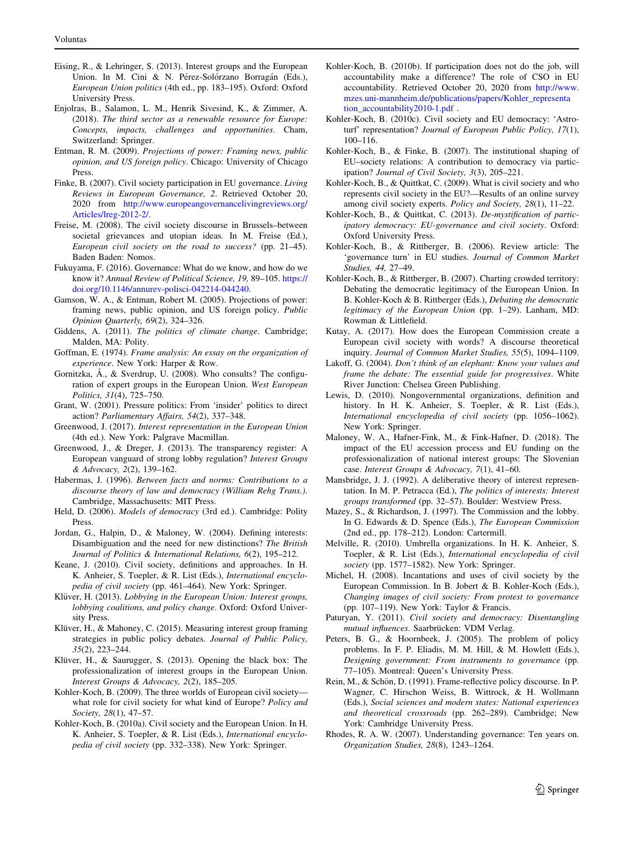- <span id="page-10-0"></span>Eising, R., & Lehringer, S. (2013). Interest groups and the European Union. In M. Cini & N. Pérez-Solórzano Borragán (Eds.), European Union politics (4th ed., pp. 183–195). Oxford: Oxford University Press.
- Enjolras, B., Salamon, L. M., Henrik Sivesind, K., & Zimmer, A. (2018). The third sector as a renewable resource for Europe: Concepts, impacts, challenges and opportunities. Cham, Switzerland: Springer.
- Entman, R. M. (2009). Projections of power: Framing news, public opinion, and US foreign policy. Chicago: University of Chicago Press.
- Finke, B. (2007). Civil society participation in EU governance. Living Reviews in European Governance, 2. Retrieved October 20, 2020 from [http://www.europeangovernancelivingreviews.org/](http://www.europeangovernancelivingreviews.org/Articles/lreg-2012-2/) [Articles/lreg-2012-2/.](http://www.europeangovernancelivingreviews.org/Articles/lreg-2012-2/)
- Freise, M. (2008). The civil society discourse in Brussels–between societal grievances and utopian ideas. In M. Freise (Ed.), European civil society on the road to success? (pp. 21–45). Baden Baden: Nomos.
- Fukuyama, F. (2016). Governance: What do we know, and how do we know it? Annual Review of Political Science, 19, 89–105. [https://](https://doi.org/10.1146/annurev-polisci-042214-044240) [doi.org/10.1146/annurev-polisci-042214-044240.](https://doi.org/10.1146/annurev-polisci-042214-044240)
- Gamson, W. A., & Entman, Robert M. (2005). Projections of power: framing news, public opinion, and US foreign policy. Public Opinion Quarterly, 69(2), 324–326.
- Giddens, A. (2011). The politics of climate change. Cambridge; Malden, MA: Polity.
- Goffman, E. (1974). Frame analysis: An essay on the organization of experience. New York: Harper & Row.
- Gornitzka,  $\AA$ ., & Sverdrup, U. (2008). Who consults? The configuration of expert groups in the European Union. West European Politics, 31(4), 725–750.
- Grant, W. (2001). Pressure politics: From 'insider' politics to direct action? Parliamentary Affairs, 54(2), 337–348.
- Greenwood, J. (2017). Interest representation in the European Union (4th ed.). New York: Palgrave Macmillan.
- Greenwood, J., & Dreger, J. (2013). The transparency register: A European vanguard of strong lobby regulation? Interest Groups & Advocacy, 2(2), 139–162.
- Habermas, J. (1996). Between facts and norms: Contributions to a discourse theory of law and democracy (William Rehg Trans.). Cambridge, Massachusetts: MIT Press.
- Held, D. (2006). Models of democracy (3rd ed.). Cambridge: Polity Press.
- Jordan, G., Halpin, D., & Maloney, W. (2004). Defining interests: Disambiguation and the need for new distinctions? The British Journal of Politics & International Relations, 6(2), 195–212.
- Keane, J. (2010). Civil society, definitions and approaches. In H. K. Anheier, S. Toepler, & R. List (Eds.), International encyclopedia of civil society (pp. 461–464). New York: Springer.
- Klüver, H. (2013). Lobbying in the European Union: Interest groups, lobbying coalitions, and policy change. Oxford: Oxford University Press.
- Klüver, H., & Mahoney, C. (2015). Measuring interest group framing strategies in public policy debates. Journal of Public Policy, 35(2), 223–244.
- Klüver, H., & Saurugger, S. (2013). Opening the black box: The professionalization of interest groups in the European Union. Interest Groups & Advocacy, 2(2), 185–205.
- Kohler-Koch, B. (2009). The three worlds of European civil society what role for civil society for what kind of Europe? Policy and Society, 28(1), 47–57.
- Kohler-Koch, B. (2010a). Civil society and the European Union. In H. K. Anheier, S. Toepler, & R. List (Eds.), International encyclopedia of civil society (pp. 332–338). New York: Springer.
- Kohler-Koch, B. (2010b). If participation does not do the job, will accountability make a difference? The role of CSO in EU accountability. Retrieved October 20, 2020 from [http://www.](http://www.mzes.uni-mannheim.de/publications/papers/Kohler_representation_accountability2010-1.pdf) [mzes.uni-mannheim.de/publications/papers/Kohler\\_representa](http://www.mzes.uni-mannheim.de/publications/papers/Kohler_representation_accountability2010-1.pdf) [tion\\_accountability2010-1.pdf](http://www.mzes.uni-mannheim.de/publications/papers/Kohler_representation_accountability2010-1.pdf) .
- Kohler-Koch, B. (2010c). Civil society and EU democracy: 'Astroturf' representation? Journal of European Public Policy, 17(1), 100–116.
- Kohler-Koch, B., & Finke, B. (2007). The institutional shaping of EU–society relations: A contribution to democracy via participation? Journal of Civil Society, 3(3), 205–221.
- Kohler-Koch, B., & Quittkat, C. (2009). What is civil society and who represents civil society in the EU?—Results of an online survey among civil society experts. Policy and Society, 28(1), 11–22.
- Kohler-Koch, B., & Quittkat, C. (2013). De-mystification of participatory democracy: EU-governance and civil society. Oxford: Oxford University Press.
- Kohler-Koch, B., & Rittberger, B. (2006). Review article: The 'governance turn' in EU studies. Journal of Common Market Studies, 44, 27–49.
- Kohler-Koch, B., & Rittberger, B. (2007). Charting crowded territory: Debating the democratic legitimacy of the European Union. In B. Kohler-Koch & B. Rittberger (Eds.), Debating the democratic legitimacy of the European Union (pp. 1–29). Lanham, MD: Rowman & Littlefield.
- Kutay, A. (2017). How does the European Commission create a European civil society with words? A discourse theoretical inquiry. Journal of Common Market Studies, 55(5), 1094–1109.
- Lakoff, G. (2004). Don't think of an elephant: Know your values and frame the debate: The essential guide for progressives. White River Junction: Chelsea Green Publishing.
- Lewis, D. (2010). Nongovernmental organizations, definition and history. In H. K. Anheier, S. Toepler, & R. List (Eds.), International encyclopedia of civil society (pp. 1056–1062). New York: Springer.
- Maloney, W. A., Hafner-Fink, M., & Fink-Hafner, D. (2018). The impact of the EU accession process and EU funding on the professionalization of national interest groups: The Slovenian case. Interest Groups & Advocacy, 7(1), 41–60.
- Mansbridge, J. J. (1992). A deliberative theory of interest representation. In M. P. Petracca (Ed.), The politics of interests: Interest groups transformed (pp. 32–57). Boulder: Westview Press.
- Mazey, S., & Richardson, J. (1997). The Commission and the lobby. In G. Edwards & D. Spence (Eds.), The European Commission (2nd ed., pp. 178–212). London: Cartermill.
- Melville, R. (2010). Umbrella organizations. In H. K. Anheier, S. Toepler, & R. List (Eds.), International encyclopedia of civil society (pp. 1577–1582). New York: Springer.
- Michel, H. (2008). Incantations and uses of civil society by the European Commission. In B. Jobert & B. Kohler-Koch (Eds.), Changing images of civil society: From protest to governance (pp. 107–119). New York: Taylor & Francis.
- Paturyan, Y. (2011). Civil society and democracy: Disentangling mutual influences. Saarbrücken: VDM Verlag.
- Peters, B. G., & Hoornbeek, J. (2005). The problem of policy problems. In F. P. Eliadis, M. M. Hill, & M. Howlett (Eds.), Designing government: From instruments to governance (pp. 77–105). Montreal: Queen's University Press.
- Rein, M., & Schön, D. (1991). Frame-reflective policy discourse. In P. Wagner, C. Hirschon Weiss, B. Wittrock, & H. Wollmann (Eds.), Social sciences and modern states: National experiences and theoretical crossroads (pp. 262–289). Cambridge; New York: Cambridge University Press.
- Rhodes, R. A. W. (2007). Understanding governance: Ten years on. Organization Studies, 28(8), 1243–1264.